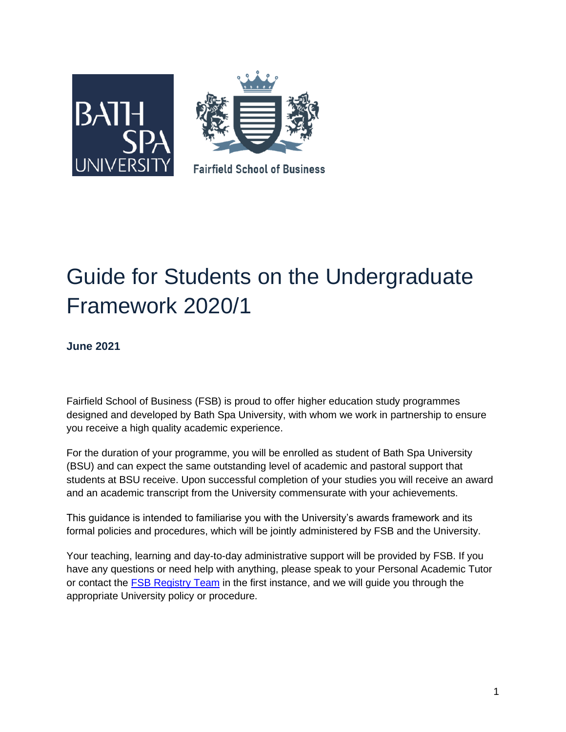

# Guide for Students on the Undergraduate Framework 2020/1

**June 2021**

Fairfield School of Business (FSB) is proud to offer higher education study programmes designed and developed by Bath Spa University, with whom we work in partnership to ensure you receive a high quality academic experience.

For the duration of your programme, you will be enrolled as student of Bath Spa University (BSU) and can expect the same outstanding level of academic and pastoral support that students at BSU receive. Upon successful completion of your studies you will receive an award and an academic transcript from the University commensurate with your achievements.

This guidance is intended to familiarise you with the University's awards framework and its formal policies and procedures, which will be jointly administered by FSB and the University.

Your teaching, learning and day-to-day administrative support will be provided by FSB. If you have any questions or need help with anything, please speak to your Personal Academic Tutor or contact the [FSB Registry Team](mailto:registry@fairfield.ac) in the first instance, and we will guide you through the appropriate University policy or procedure.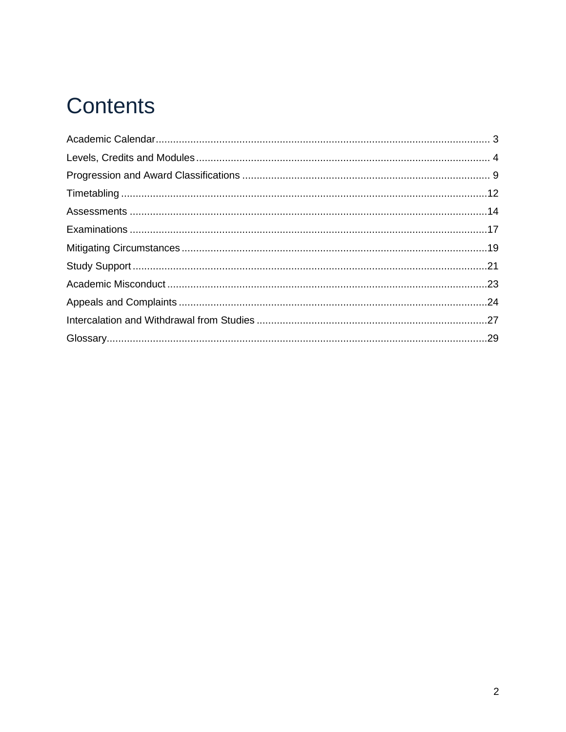# **Contents**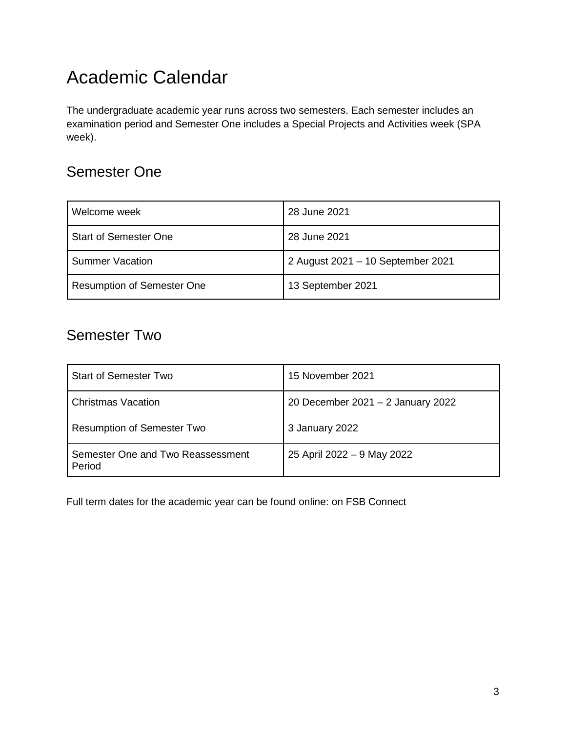## <span id="page-2-0"></span>Academic Calendar

The undergraduate academic year runs across two semesters. Each semester includes an examination period and Semester One includes a Special Projects and Activities week (SPA week).

### Semester One

| Welcome week                      | 28 June 2021                      |
|-----------------------------------|-----------------------------------|
| <b>Start of Semester One</b>      | 28 June 2021                      |
| <b>Summer Vacation</b>            | 2 August 2021 - 10 September 2021 |
| <b>Resumption of Semester One</b> | 13 September 2021                 |

### Semester Two

| <b>Start of Semester Two</b>                | 15 November 2021                  |
|---------------------------------------------|-----------------------------------|
| <b>Christmas Vacation</b>                   | 20 December 2021 - 2 January 2022 |
| <b>Resumption of Semester Two</b>           | 3 January 2022                    |
| Semester One and Two Reassessment<br>Period | 25 April 2022 - 9 May 2022        |

Full term dates for the academic year can be found online: on FSB Connect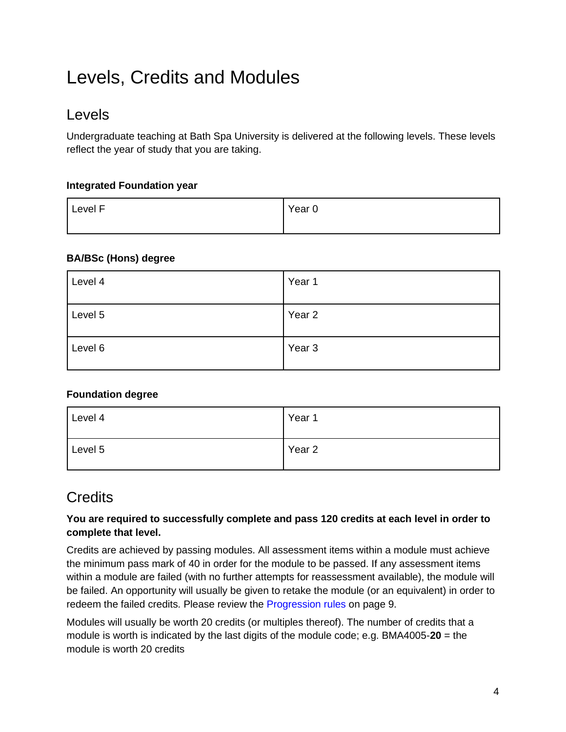## <span id="page-3-0"></span>Levels, Credits and Modules

### Levels

Undergraduate teaching at Bath Spa University is delivered at the following levels. These levels reflect the year of study that you are taking.

### **Integrated Foundation year**

| Level F | Year <sub>0</sub> |
|---------|-------------------|
|         |                   |

### **BA/BSc (Hons) degree**

| Level 4 | Year 1            |
|---------|-------------------|
| Level 5 | Year 2            |
| Level 6 | Year <sub>3</sub> |

### **Foundation degree**

| Level 4 | Year 1            |
|---------|-------------------|
| Level 5 | Year <sub>2</sub> |

### **Credits**

### **You are required to successfully complete and pass 120 credits at each level in order to complete that level.**

Credits are achieved by passing modules. All assessment items within a module must achieve the minimum pass mark of 40 in order for the module to be passed. If any assessment items within a module are failed (with no further attempts for reassessment available), the module will be failed. An opportunity will usually be given to retake the module (or an equivalent) in order to redeem the failed credits. Please review the [Progression rules](#page-8-0) on page 9.

Modules will usually be worth 20 credits (or multiples thereof). The number of credits that a module is worth is indicated by the last digits of the module code; e.g. BMA4005-**20** = the module is worth 20 credits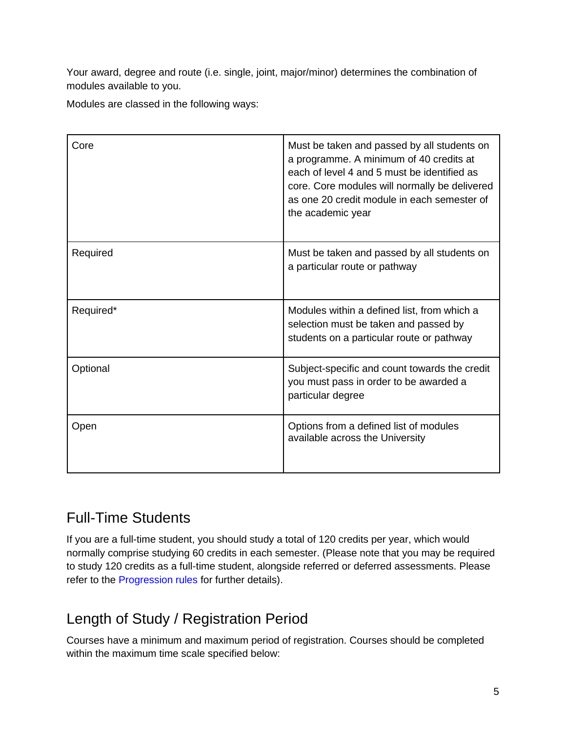Your award, degree and route (i.e. single, joint, major/minor) determines the combination of modules available to you.

Modules are classed in the following ways:

| Core      | Must be taken and passed by all students on<br>a programme. A minimum of 40 credits at<br>each of level 4 and 5 must be identified as<br>core. Core modules will normally be delivered<br>as one 20 credit module in each semester of<br>the academic year |
|-----------|------------------------------------------------------------------------------------------------------------------------------------------------------------------------------------------------------------------------------------------------------------|
| Required  | Must be taken and passed by all students on<br>a particular route or pathway                                                                                                                                                                               |
| Required* | Modules within a defined list, from which a<br>selection must be taken and passed by<br>students on a particular route or pathway                                                                                                                          |
| Optional  | Subject-specific and count towards the credit<br>you must pass in order to be awarded a<br>particular degree                                                                                                                                               |
| Open      | Options from a defined list of modules<br>available across the University                                                                                                                                                                                  |

### Full-Time Students

If you are a full-time student, you should study a total of 120 credits per year, which would normally comprise studying 60 credits in each semester. (Please note that you may be required to study 120 credits as a full-time student, alongside referred or deferred assessments. Please refer to the [Progression rules](#page-8-0) for further details).

### Length of Study / Registration Period

Courses have a minimum and maximum period of registration. Courses should be completed within the maximum time scale specified below: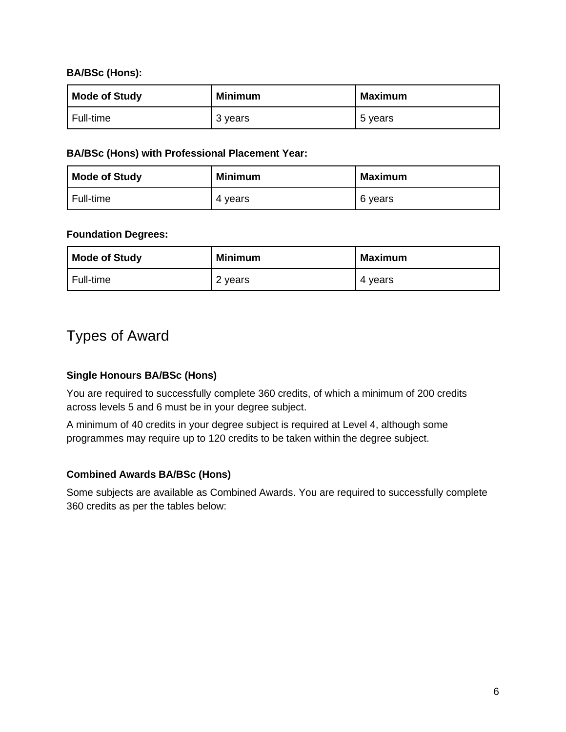### **BA/BSc (Hons):**

| <b>Mode of Study</b> | <b>Minimum</b> | Maximum |
|----------------------|----------------|---------|
| Full-time            | 3 years        | 5 years |

#### **BA/BSc (Hons) with Professional Placement Year:**

| <b>Mode of Study</b> | <b>Minimum</b> | <b>Maximum</b> |
|----------------------|----------------|----------------|
| Full-time            | 4 vears        | 6 years        |

#### **Foundation Degrees:**

| <b>Mode of Study</b> | <b>Minimum</b> | <b>Maximum</b> |
|----------------------|----------------|----------------|
| Full-time            | 2 years        | 4 years        |

### Types of Award

### **Single Honours BA/BSc (Hons)**

You are required to successfully complete 360 credits, of which a minimum of 200 credits across levels 5 and 6 must be in your degree subject.

A minimum of 40 credits in your degree subject is required at Level 4, although some programmes may require up to 120 credits to be taken within the degree subject.

#### **Combined Awards BA/BSc (Hons)**

Some subjects are available as Combined Awards. You are required to successfully complete 360 credits as per the tables below: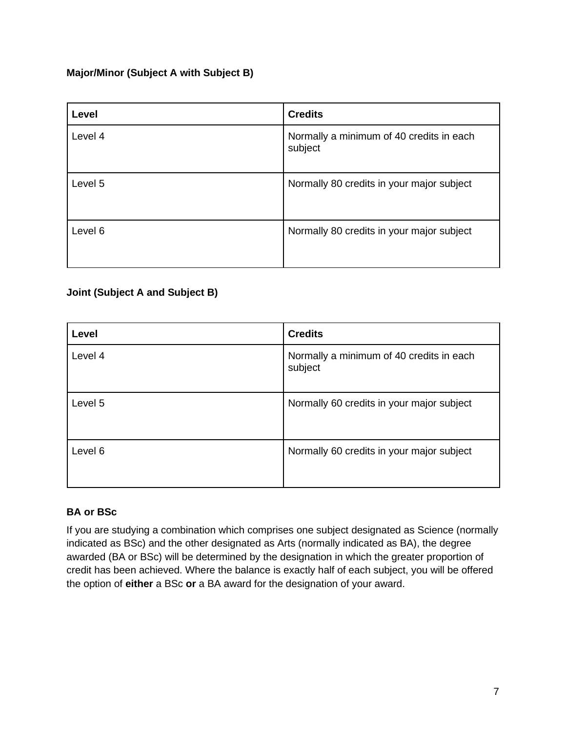### **Major/Minor (Subject A with Subject B)**

| Level   | <b>Credits</b>                                      |
|---------|-----------------------------------------------------|
| Level 4 | Normally a minimum of 40 credits in each<br>subject |
| Level 5 | Normally 80 credits in your major subject           |
| Level 6 | Normally 80 credits in your major subject           |

### **Joint (Subject A and Subject B)**

| Level   | <b>Credits</b>                                      |
|---------|-----------------------------------------------------|
| Level 4 | Normally a minimum of 40 credits in each<br>subject |
| Level 5 | Normally 60 credits in your major subject           |
| Level 6 | Normally 60 credits in your major subject           |

### **BA or BSc**

If you are studying a combination which comprises one subject designated as Science (normally indicated as BSc) and the other designated as Arts (normally indicated as BA), the degree awarded (BA or BSc) will be determined by the designation in which the greater proportion of credit has been achieved. Where the balance is exactly half of each subject, you will be offered the option of **either** a BSc **or** a BA award for the designation of your award.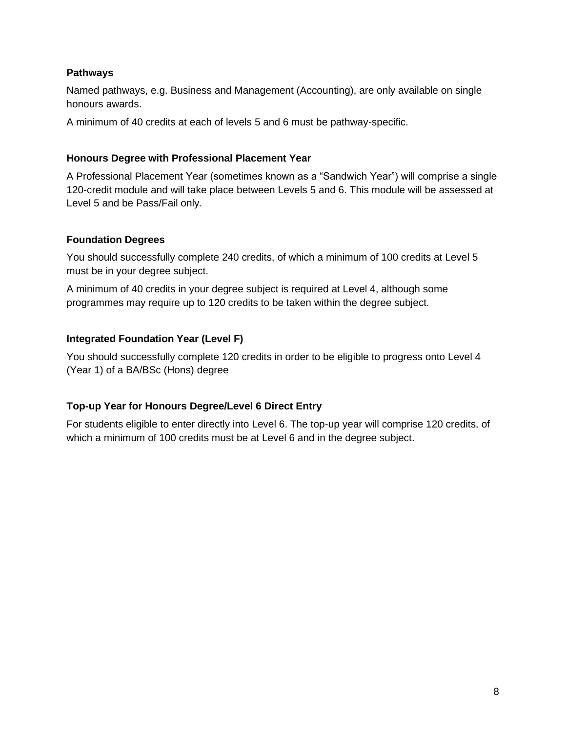#### **Pathways**

Named pathways, e.g. Business and Management (Accounting), are only available on single honours awards.

A minimum of 40 credits at each of levels 5 and 6 must be pathway-specific.

#### **Honours Degree with Professional Placement Year**

A Professional Placement Year (sometimes known as a "Sandwich Year") will comprise a single 120-credit module and will take place between Levels 5 and 6. This module will be assessed at Level 5 and be Pass/Fail only.

#### **Foundation Degrees**

You should successfully complete 240 credits, of which a minimum of 100 credits at Level 5 must be in your degree subject.

A minimum of 40 credits in your degree subject is required at Level 4, although some programmes may require up to 120 credits to be taken within the degree subject.

#### **Integrated Foundation Year (Level F)**

You should successfully complete 120 credits in order to be eligible to progress onto Level 4 (Year 1) of a BA/BSc (Hons) degree

#### **Top-up Year for Honours Degree/Level 6 Direct Entry**

For students eligible to enter directly into Level 6. The top-up year will comprise 120 credits, of which a minimum of 100 credits must be at Level 6 and in the degree subject.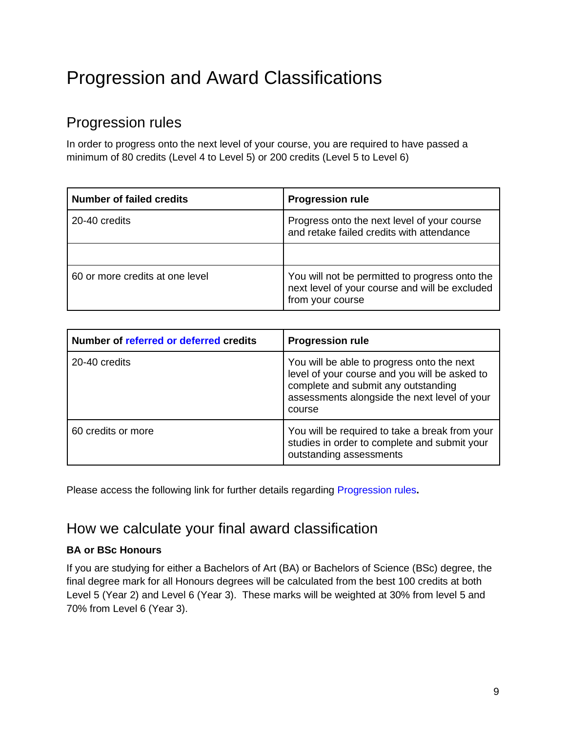## <span id="page-8-0"></span>Progression and Award Classifications

### Progression rules

In order to progress onto the next level of your course, you are required to have passed a minimum of 80 credits (Level 4 to Level 5) or 200 credits (Level 5 to Level 6)

| <b>Number of failed credits</b> | <b>Progression rule</b>                                                                                              |
|---------------------------------|----------------------------------------------------------------------------------------------------------------------|
| 20-40 credits                   | Progress onto the next level of your course<br>and retake failed credits with attendance                             |
|                                 |                                                                                                                      |
| 60 or more credits at one level | You will not be permitted to progress onto the<br>next level of your course and will be excluded<br>from your course |

| Number of referred or deferred credits | <b>Progression rule</b>                                                                                                                                                                      |
|----------------------------------------|----------------------------------------------------------------------------------------------------------------------------------------------------------------------------------------------|
| 20-40 credits                          | You will be able to progress onto the next<br>level of your course and you will be asked to<br>complete and submit any outstanding<br>assessments alongside the next level of your<br>course |
| 60 credits or more                     | You will be required to take a break from your<br>studies in order to complete and submit your<br>outstanding assessments                                                                    |

Please access the following link for further details regarding [Progression rules](https://drive.google.com/file/d/18q6_iQsDpaOt69Dh2BbZnU8OwAqv14oj/view?usp=sharing)**.**

### How we calculate your final award classification

### **BA or BSc Honours**

If you are studying for either a Bachelors of Art (BA) or Bachelors of Science (BSc) degree, the final degree mark for all Honours degrees will be calculated from the best 100 credits at both Level 5 (Year 2) and Level 6 (Year 3). These marks will be weighted at 30% from level 5 and 70% from Level 6 (Year 3).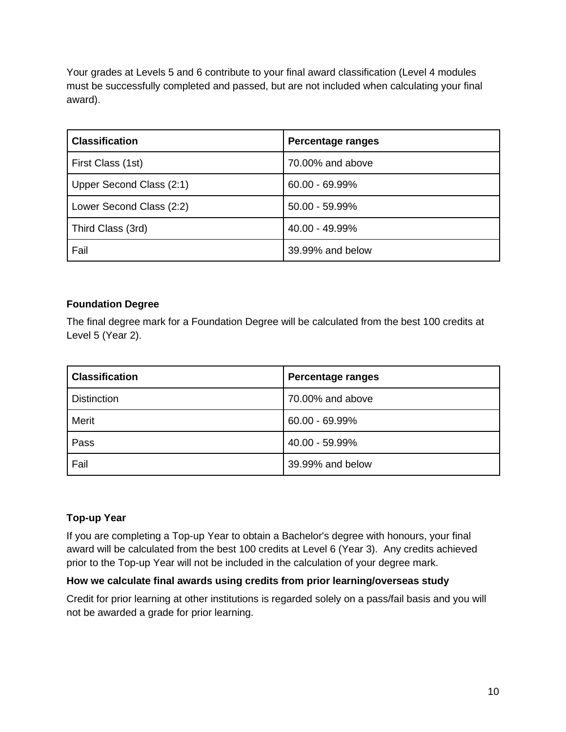Your grades at Levels 5 and 6 contribute to your final award classification (Level 4 modules must be successfully completed and passed, but are not included when calculating your final award).

| <b>Classification</b>    | Percentage ranges |
|--------------------------|-------------------|
| First Class (1st)        | 70,00% and above  |
| Upper Second Class (2:1) | $60.00 - 69.99\%$ |
| Lower Second Class (2:2) | $50.00 - 59.99\%$ |
| Third Class (3rd)        | 40.00 - 49.99%    |
| Fail                     | 39.99% and below  |

### **Foundation Degree**

The final degree mark for a Foundation Degree will be calculated from the best 100 credits at Level 5 (Year 2).

| <b>Classification</b> | <b>Percentage ranges</b> |
|-----------------------|--------------------------|
| <b>Distinction</b>    | 70.00% and above         |
| Merit                 | $60.00 - 69.99\%$        |
| Pass                  | 40.00 - 59.99%           |
| Fail                  | 39.99% and below         |

### **Top-up Year**

If you are completing a Top-up Year to obtain a Bachelor's degree with honours, your final award will be calculated from the best 100 credits at Level 6 (Year 3). Any credits achieved prior to the Top-up Year will not be included in the calculation of your degree mark.

### **How we calculate final awards using credits from prior learning/overseas study**

Credit for prior learning at other institutions is regarded solely on a pass/fail basis and you will not be awarded a grade for prior learning.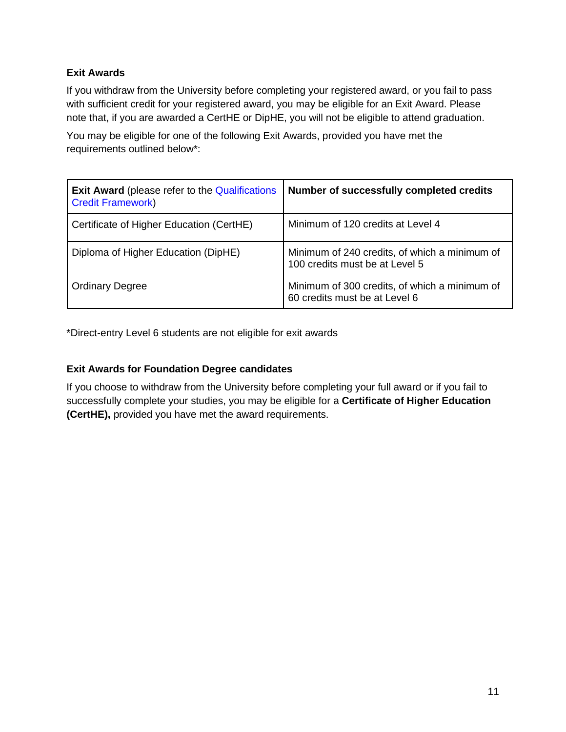### **Exit Awards**

If you withdraw from the University before completing your registered award, or you fail to pass with sufficient credit for your registered award, you may be eligible for an Exit Award. Please note that, if you are awarded a CertHE or DipHE, you will not be eligible to attend graduation.

You may be eligible for one of the following Exit Awards, provided you have met the requirements outlined below\*:

| <b>Exit Award</b> (please refer to the Qualifications<br><b>Credit Framework)</b> | Number of successfully completed credits                                        |
|-----------------------------------------------------------------------------------|---------------------------------------------------------------------------------|
| Certificate of Higher Education (CertHE)                                          | Minimum of 120 credits at Level 4                                               |
| Diploma of Higher Education (DipHE)                                               | Minimum of 240 credits, of which a minimum of<br>100 credits must be at Level 5 |
| <b>Ordinary Degree</b>                                                            | Minimum of 300 credits, of which a minimum of<br>60 credits must be at Level 6  |

\*Direct-entry Level 6 students are not eligible for exit awards

### **Exit Awards for Foundation Degree candidates**

If you choose to withdraw from the University before completing your full award or if you fail to successfully complete your studies, you may be eligible for a **Certificate of Higher Education (CertHE),** provided you have met the award requirements.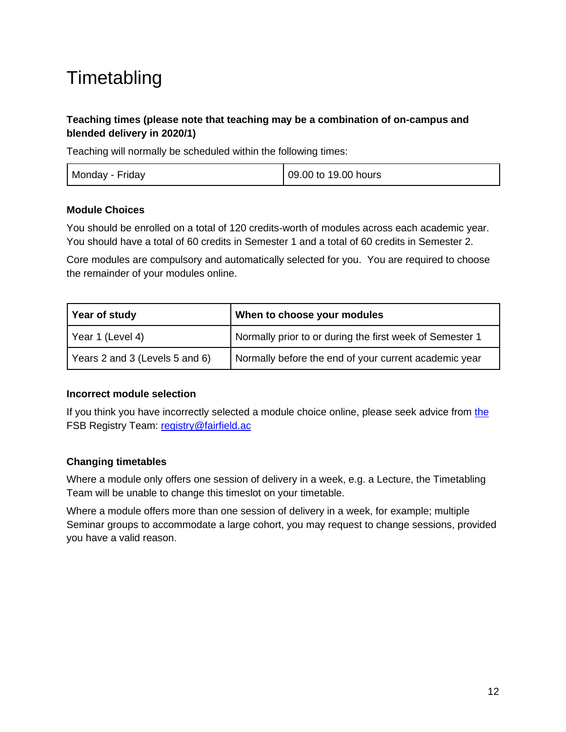## <span id="page-11-0"></span>**Timetabling**

### **Teaching times (please note that teaching may be a combination of on-campus and blended delivery in 2020/1)**

Teaching will normally be scheduled within the following times:

| Monday - Friday<br>09.00 to 19.00 hours |
|-----------------------------------------|
|-----------------------------------------|

### **Module Choices**

You should be enrolled on a total of 120 credits-worth of modules across each academic year. You should have a total of 60 credits in Semester 1 and a total of 60 credits in Semester 2.

Core modules are compulsory and automatically selected for you. You are required to choose the remainder of your modules online.

| Year of study                  | When to choose your modules                              |
|--------------------------------|----------------------------------------------------------|
| Year 1 (Level 4)               | Normally prior to or during the first week of Semester 1 |
| Years 2 and 3 (Levels 5 and 6) | Normally before the end of your current academic year    |

### **Incorrect module selection**

If you think you have incorrectly selected a module choice online, please seek advice from [the](mailto:the) FSB Registry Team: [registry@fairfield.ac](mailto:registry@fairfield.ac)

### **Changing timetables**

Where a module only offers one session of delivery in a week, e.g. a Lecture, the Timetabling Team will be unable to change this timeslot on your timetable.

Where a module offers more than one session of delivery in a week, for example; multiple Seminar groups to accommodate a large cohort, you may request to change sessions, provided you have a valid reason.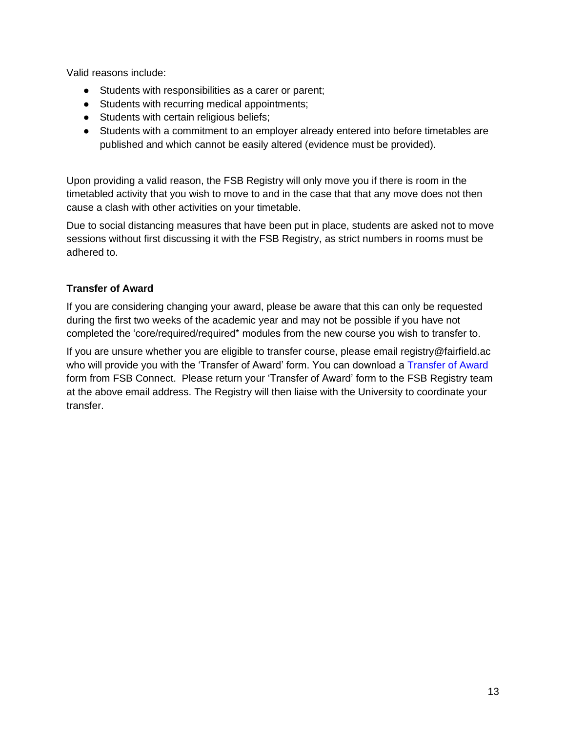Valid reasons include:

- Students with responsibilities as a carer or parent;
- Students with recurring medical appointments;
- Students with certain religious beliefs;
- Students with a commitment to an employer already entered into before timetables are published and which cannot be easily altered (evidence must be provided).

Upon providing a valid reason, the FSB Registry will only move you if there is room in the timetabled activity that you wish to move to and in the case that that any move does not then cause a clash with other activities on your timetable.

Due to social distancing measures that have been put in place, students are asked not to move sessions without first discussing it with the FSB Registry, as strict numbers in rooms must be adhered to.

### **Transfer of Award**

If you are considering changing your award, please be aware that this can only be requested during the first two weeks of the academic year and may not be possible if you have not completed the 'core/required/required\* modules from the new course you wish to transfer to.

If you are unsure whether you are eligible to transfer course, please email registry@fairfield.ac who will provide you with the 'Transfer of Award' form. You can download a [Transfer of Award](https://thehub.bathspa.ac.uk/MediaFolder/Student%20Services/SID/Forms/Transfer%20of%20Award.pdf) form from FSB Connect. Please return your 'Transfer of Award' form to the FSB Registry team at the above email address. The Registry will then liaise with the University to coordinate your transfer.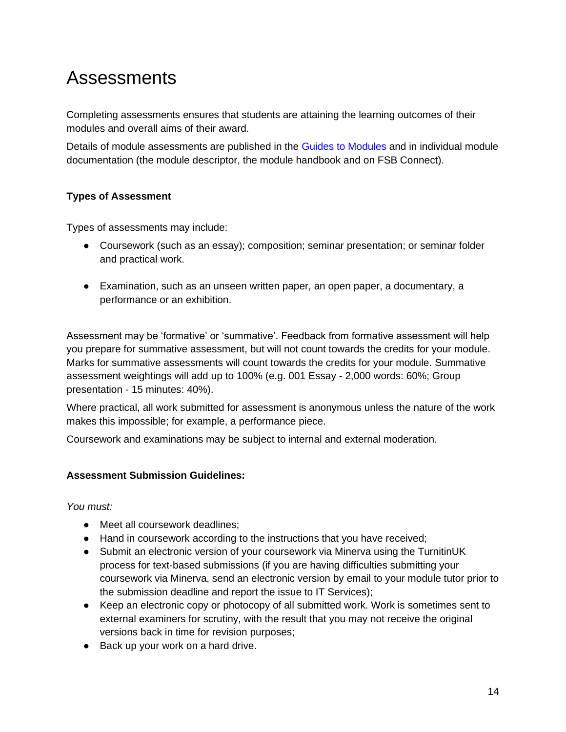### <span id="page-13-0"></span>Assessments

Completing assessments ensures that students are attaining the learning outcomes of their modules and overall aims of their award.

Details of module assessments are published in the [Guides to Modules](https://sites.google.com/bathspa.ac.uk/2020-21-level-4-moduleguide/home) and in individual module documentation (the module descriptor, the module handbook and on FSB Connect).

### **Types of Assessment**

Types of assessments may include:

- Coursework (such as an essay); composition; seminar presentation; or seminar folder and practical work.
- Examination, such as an unseen written paper, an open paper, a documentary, a performance or an exhibition.

Assessment may be 'formative' or 'summative'. Feedback from formative assessment will help you prepare for summative assessment, but will not count towards the credits for your module. Marks for summative assessments will count towards the credits for your module. Summative assessment weightings will add up to 100% (e.g. 001 Essay - 2,000 words: 60%; Group presentation - 15 minutes: 40%).

Where practical, all work submitted for assessment is anonymous unless the nature of the work makes this impossible; for example, a performance piece.

Coursework and examinations may be subject to internal and external moderation.

### **Assessment Submission Guidelines:**

*You must:*

- Meet all coursework deadlines:
- Hand in coursework according to the instructions that you have received;
- Submit an electronic version of your coursework via Minerva using the TurnitinUK process for text-based submissions (if you are having difficulties submitting your coursework via Minerva, send an electronic version by email to your module tutor prior to the submission deadline and report the issue to IT Services);
- Keep an electronic copy or photocopy of all submitted work. Work is sometimes sent to external examiners for scrutiny, with the result that you may not receive the original versions back in time for revision purposes;
- Back up your work on a hard drive.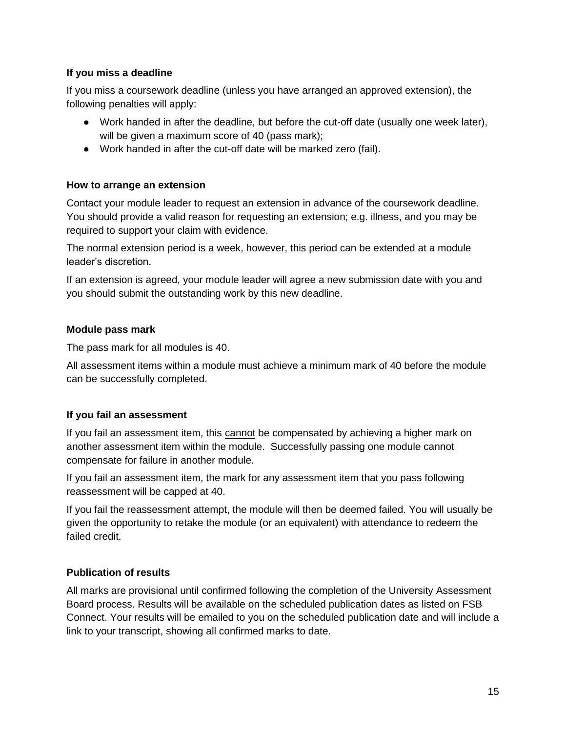### **If you miss a deadline**

If you miss a coursework deadline (unless you have arranged an approved extension), the following penalties will apply:

- Work handed in after the deadline, but before the cut-off date (usually one week later), will be given a maximum score of 40 (pass mark);
- Work handed in after the cut-off date will be marked zero (fail).

### **How to arrange an extension**

Contact your module leader to request an extension in advance of the coursework deadline. You should provide a valid reason for requesting an extension; e.g. illness, and you may be required to support your claim with evidence.

The normal extension period is a week, however, this period can be extended at a module leader's discretion.

If an extension is agreed, your module leader will agree a new submission date with you and you should submit the outstanding work by this new deadline.

### **Module pass mark**

The pass mark for all modules is 40.

All assessment items within a module must achieve a minimum mark of 40 before the module can be successfully completed.

### **If you fail an assessment**

If you fail an assessment item, this cannot be compensated by achieving a higher mark on another assessment item within the module. Successfully passing one module cannot compensate for failure in another module.

If you fail an assessment item, the mark for any assessment item that you pass following reassessment will be capped at 40.

If you fail the reassessment attempt, the module will then be deemed failed. You will usually be given the opportunity to retake the module (or an equivalent) with attendance to redeem the failed credit.

### **Publication of results**

All marks are provisional until confirmed following the completion of the University Assessment Board process. Results will be available on the scheduled publication dates as listed on FSB Connect. Your results will be emailed to you on the scheduled publication date and will include a link to your transcript, showing all confirmed marks to date.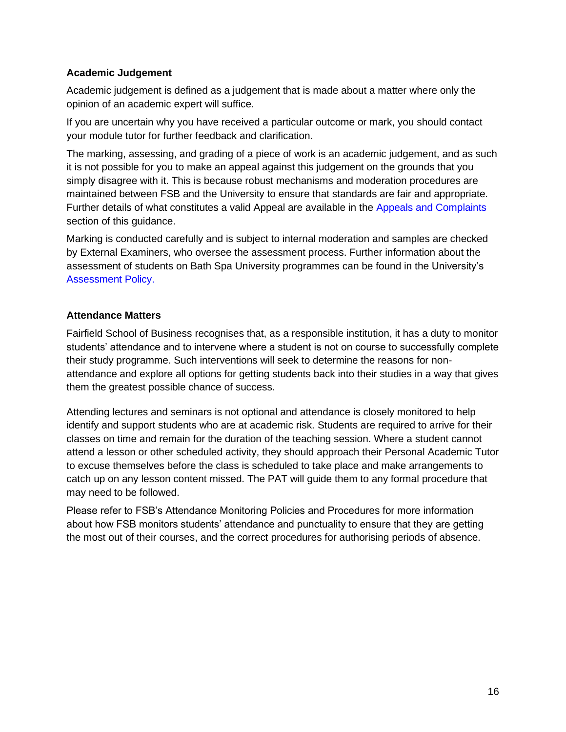### **Academic Judgement**

Academic judgement is defined as a judgement that is made about a matter where only the opinion of an academic expert will suffice.

If you are uncertain why you have received a particular outcome or mark, you should contact your module tutor for further feedback and clarification.

The marking, assessing, and grading of a piece of work is an academic judgement, and as such it is not possible for you to make an appeal against this judgement on the grounds that you simply disagree with it. This is because robust mechanisms and moderation procedures are maintained between FSB and the University to ensure that standards are fair and appropriate. Further details of what constitutes a valid Appeal are available in the [Appeals and Complaints](#page-23-0) section of this guidance.

Marking is conducted carefully and is subject to internal moderation and samples are checked by External Examiners, who oversee the assessment process. Further information about the assessment of students on Bath Spa University programmes can be found in the University's [Assessment Policy.](https://www.bathspa.ac.uk/media/bathspaacuk/about-us/policies/academic-and-student/Assessment-Policy-v4-Sep-2020.pdf)

### **Attendance Matters**

Fairfield School of Business recognises that, as a responsible institution, it has a duty to monitor students' attendance and to intervene where a student is not on course to successfully complete their study programme. Such interventions will seek to determine the reasons for nonattendance and explore all options for getting students back into their studies in a way that gives them the greatest possible chance of success.

Attending lectures and seminars is not optional and attendance is closely monitored to help identify and support students who are at academic risk. Students are required to arrive for their classes on time and remain for the duration of the teaching session. Where a student cannot attend a lesson or other scheduled activity, they should approach their Personal Academic Tutor to excuse themselves before the class is scheduled to take place and make arrangements to catch up on any lesson content missed. The PAT will guide them to any formal procedure that may need to be followed.

Please refer to FSB's Attendance Monitoring Policies and Procedures for more information about how FSB monitors students' attendance and punctuality to ensure that they are getting the most out of their courses, and the correct procedures for authorising periods of absence.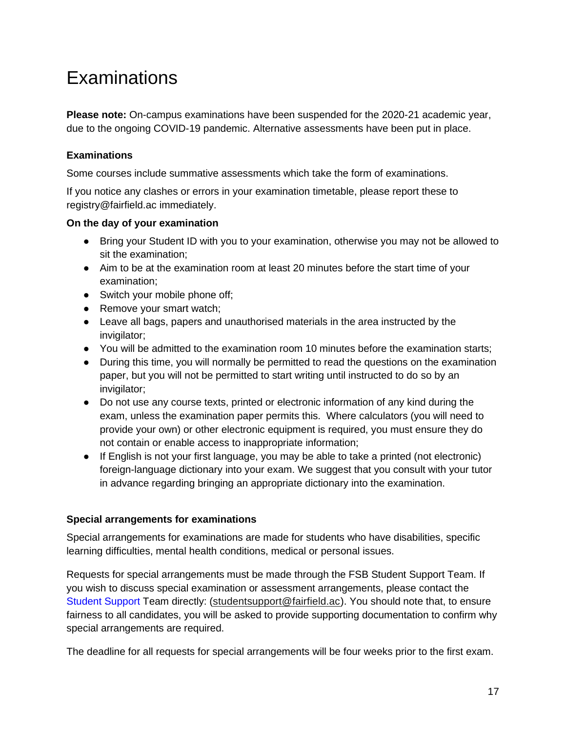### <span id="page-16-0"></span>Examinations

**Please note:** On-campus examinations have been suspended for the 2020-21 academic year, due to the ongoing COVID-19 pandemic. Alternative assessments have been put in place.

### **Examinations**

Some courses include summative assessments which take the form of examinations.

If you notice any clashes or errors in your examination timetable, please report these to registry@fairfield.ac immediately.

### **On the day of your examination**

- Bring your Student ID with you to your examination, otherwise you may not be allowed to sit the examination;
- Aim to be at the examination room at least 20 minutes before the start time of your examination;
- Switch your mobile phone off;
- Remove your smart watch;
- Leave all bags, papers and unauthorised materials in the area instructed by the invigilator;
- You will be admitted to the examination room 10 minutes before the examination starts;
- During this time, you will normally be permitted to read the questions on the examination paper, but you will not be permitted to start writing until instructed to do so by an invigilator;
- Do not use any course texts, printed or electronic information of any kind during the exam, unless the examination paper permits this. Where calculators (you will need to provide your own) or other electronic equipment is required, you must ensure they do not contain or enable access to inappropriate information;
- If English is not your first language, you may be able to take a printed (not electronic) foreign-language dictionary into your exam. We suggest that you consult with your tutor in advance regarding bringing an appropriate dictionary into the examination.

### **Special arrangements for examinations**

Special arrangements for examinations are made for students who have disabilities, specific learning difficulties, mental health conditions, medical or personal issues.

Requests for special arrangements must be made through the FSB Student Support Team. If you wish to discuss special examination or assessment arrangements, please contact the [Student Support T](https://www.bathspa.ac.uk/students/student-wellbeing-services/)eam directly: [\(studentsupport@fairfield.ac\)](mailto:studentsupport@fairfield.ac?Subject=Hello%20again). You should note that, to ensure fairness to all candidates, you will be asked to provide supporting documentation to confirm why special arrangements are required.

The deadline for all requests for special arrangements will be four weeks prior to the first exam.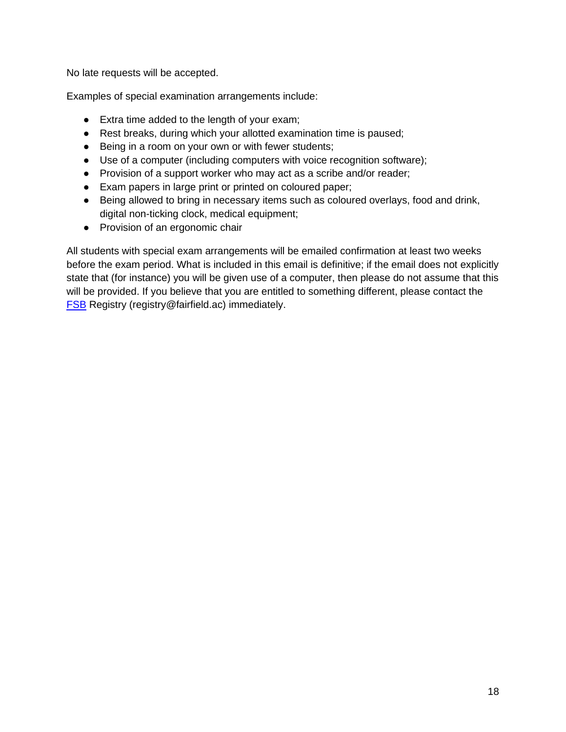No late requests will be accepted.

Examples of special examination arrangements include:

- Extra time added to the length of your exam;
- Rest breaks, during which your allotted examination time is paused;
- Being in a room on your own or with fewer students;
- Use of a computer (including computers with voice recognition software);
- Provision of a support worker who may act as a scribe and/or reader;
- Exam papers in large print or printed on coloured paper;
- Being allowed to bring in necessary items such as coloured overlays, food and drink, digital non-ticking clock, medical equipment;
- Provision of an ergonomic chair

All students with special exam arrangements will be emailed confirmation at least two weeks before the exam period. What is included in this email is definitive; if the email does not explicitly state that (for instance) you will be given use of a computer, then please do not assume that this will be provided. If you believe that you are entitled to something different, please contact the [FSB](mailto:FSB) Registry (registry@fairfield.ac) immediately.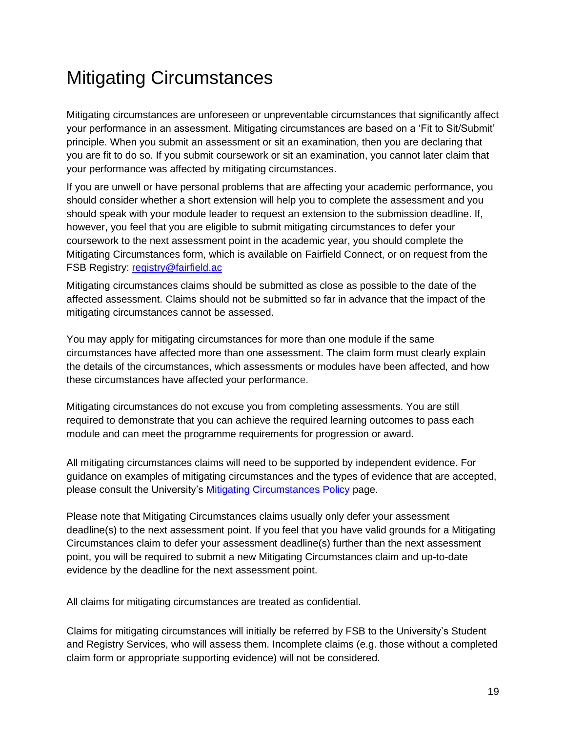## <span id="page-18-0"></span>Mitigating Circumstances

Mitigating circumstances are unforeseen or unpreventable circumstances that significantly affect your performance in an assessment. Mitigating circumstances are based on a 'Fit to Sit/Submit' principle. When you submit an assessment or sit an examination, then you are declaring that you are fit to do so. If you submit coursework or sit an examination, you cannot later claim that your performance was affected by mitigating circumstances.

If you are unwell or have personal problems that are affecting your academic performance, you should consider whether a short extension will help you to complete the assessment and you should speak with your module leader to request an extension to the submission deadline. If, however, you feel that you are eligible to submit mitigating circumstances to defer your coursework to the next assessment point in the academic year, you should complete the Mitigating Circumstances form, which is available on Fairfield Connect, or on request from the FSB Registry: [registry@fairfield.ac](mailto:registry@fairfield.ac)

Mitigating circumstances claims should be submitted as close as possible to the date of the affected assessment. Claims should not be submitted so far in advance that the impact of the mitigating circumstances cannot be assessed.

You may apply for mitigating circumstances for more than one module if the same circumstances have affected more than one assessment. The claim form must clearly explain the details of the circumstances, which assessments or modules have been affected, and how these circumstances have affected your performance.

Mitigating circumstances do not excuse you from completing assessments. You are still required to demonstrate that you can achieve the required learning outcomes to pass each module and can meet the programme requirements for progression or award.

All mitigating circumstances claims will need to be supported by independent evidence. For guidance on examples of mitigating circumstances and the types of evidence that are accepted, please consult the University's [Mitigating Circumstances Policy](https://www.bathspa.ac.uk/about-us/governance/policies/mitigating-circumstances/) page.

Please note that Mitigating Circumstances claims usually only defer your assessment deadline(s) to the next assessment point. If you feel that you have valid grounds for a Mitigating Circumstances claim to defer your assessment deadline(s) further than the next assessment point, you will be required to submit a new Mitigating Circumstances claim and up-to-date evidence by the deadline for the next assessment point.

All claims for mitigating circumstances are treated as confidential.

Claims for mitigating circumstances will initially be referred by FSB to the University's Student and Registry Services, who will assess them. Incomplete claims (e.g. those without a completed claim form or appropriate supporting evidence) will not be considered.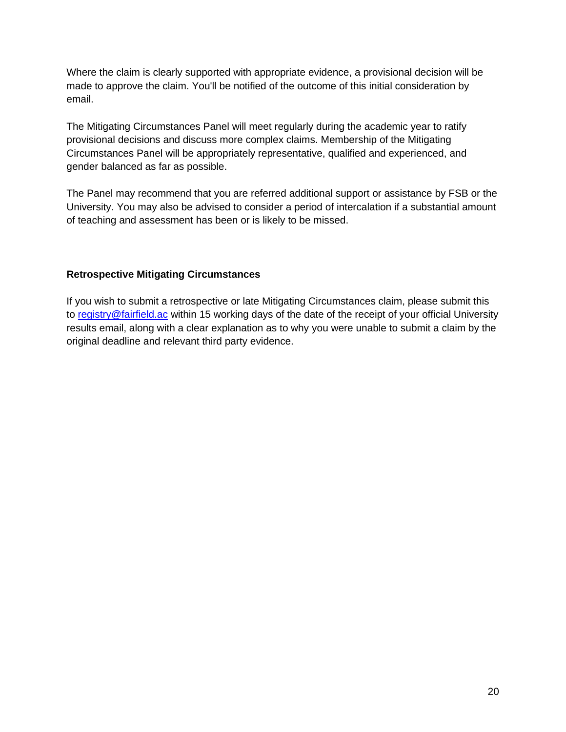Where the claim is clearly supported with appropriate evidence, a provisional decision will be made to approve the claim. You'll be notified of the outcome of this initial consideration by email.

The Mitigating Circumstances Panel will meet regularly during the academic year to ratify provisional decisions and discuss more complex claims. Membership of the Mitigating Circumstances Panel will be appropriately representative, qualified and experienced, and gender balanced as far as possible.

The Panel may recommend that you are referred additional support or assistance by FSB or the University. You may also be advised to consider a period of intercalation if a substantial amount of teaching and assessment has been or is likely to be missed.

### **Retrospective Mitigating Circumstances**

If you wish to submit a retrospective or late Mitigating Circumstances claim, please submit this to [registry@fairfield.ac](mailto:registry@fairfield.ac) within 15 working days of the date of the receipt of your official University results email, along with a clear explanation as to why you were unable to submit a claim by the original deadline and relevant third party evidence.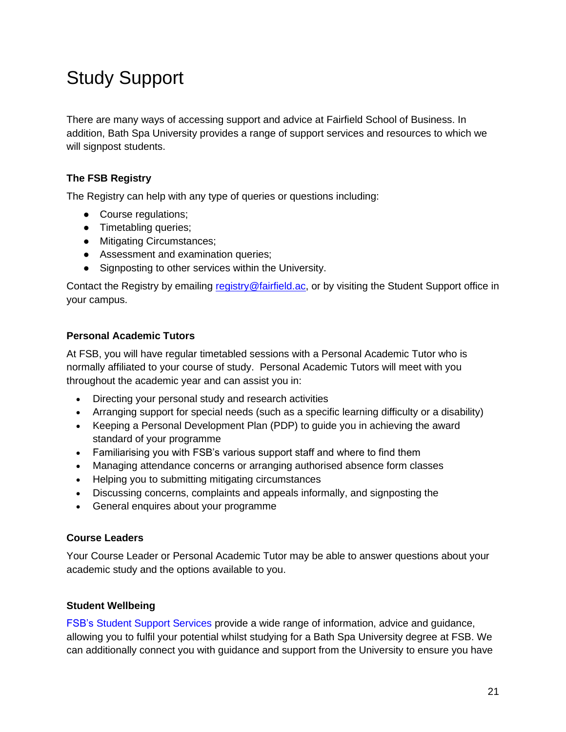## <span id="page-20-0"></span>Study Support

There are many ways of accessing support and advice at Fairfield School of Business. In addition, Bath Spa University provides a range of support services and resources to which we will signpost students.

### **The FSB Registry**

The Registry can help with any type of queries or questions including:

- Course regulations;
- Timetabling queries;
- Mitigating Circumstances;
- Assessment and examination queries;
- Signposting to other services within the University.

Contact the Registry by emailing [registry@](mailto:mycourse@bathspa.ac.uk)fairfield.ac, or by visiting the Student Support office in your campus.

### **Personal Academic Tutors**

At FSB, you will have regular timetabled sessions with a Personal Academic Tutor who is normally affiliated to your course of study. Personal Academic Tutors will meet with you throughout the academic year and can assist you in:

- Directing your personal study and research activities
- Arranging support for special needs (such as a specific learning difficulty or a disability)
- Keeping a Personal Development Plan (PDP) to guide you in achieving the award standard of your programme
- Familiarising you with FSB's various support staff and where to find them
- Managing attendance concerns or arranging authorised absence form classes
- Helping you to submitting mitigating circumstances
- Discussing concerns, complaints and appeals informally, and signposting the
- General enquires about your programme

#### **Course Leaders**

Your Course Leader or Personal Academic Tutor may be able to answer questions about your academic study and the options available to you.

### **Student Wellbeing**

FSB's [Student](https://www.bathspa.ac.uk/students/student-wellbeing-services/) Support Services provide a wide range of information, advice and guidance, allowing you to fulfil your potential whilst studying for a Bath Spa University degree at FSB. We can additionally connect you with guidance and support from the University to ensure you have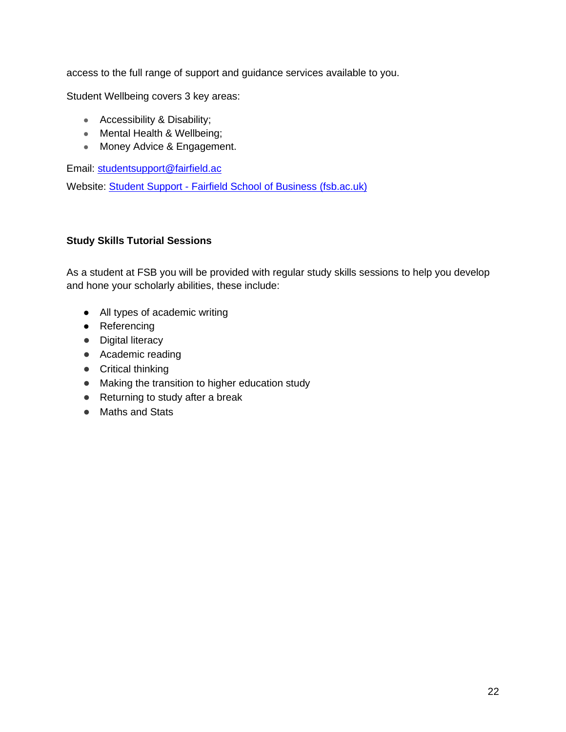access to the full range of support and guidance services available to you.

Student Wellbeing covers 3 key areas:

- Accessibility & Disability;
- Mental Health & Wellbeing;
- Money Advice & Engagement.

Email: studentsupport@fairfield.ac

Website: Student Support - [Fairfield School of Business \(fsb.ac.uk\)](https://fsb.ac.uk/student-support/)

### **Study Skills Tutorial Sessions**

As a student at FSB you will be provided with regular study skills sessions to help you develop and hone your scholarly abilities, these include:

- All types of academic writing
- Referencing
- Digital literacy
- Academic reading
- Critical thinking
- Making the transition to higher education study
- Returning to study after a break
- Maths and Stats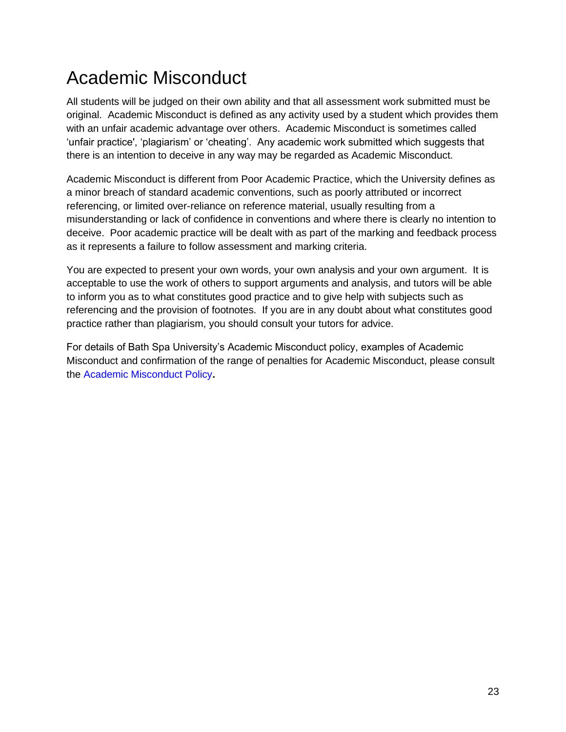## <span id="page-22-0"></span>Academic Misconduct

All students will be judged on their own ability and that all assessment work submitted must be original. Academic Misconduct is defined as any activity used by a student which provides them with an unfair academic advantage over others. Academic Misconduct is sometimes called 'unfair practice', 'plagiarism' or 'cheating'. Any academic work submitted which suggests that there is an intention to deceive in any way may be regarded as Academic Misconduct.

Academic Misconduct is different from Poor Academic Practice, which the University defines as a minor breach of standard academic conventions, such as poorly attributed or incorrect referencing, or limited over-reliance on reference material, usually resulting from a misunderstanding or lack of confidence in conventions and where there is clearly no intention to deceive. Poor academic practice will be dealt with as part of the marking and feedback process as it represents a failure to follow assessment and marking criteria.

You are expected to present your own words, your own analysis and your own argument. It is acceptable to use the work of others to support arguments and analysis, and tutors will be able to inform you as to what constitutes good practice and to give help with subjects such as referencing and the provision of footnotes. If you are in any doubt about what constitutes good practice rather than plagiarism, you should consult your tutors for advice.

For details of Bath Spa University's Academic Misconduct policy, examples of Academic Misconduct and confirmation of the range of penalties for Academic Misconduct, please consult the [Academic Misconduct Policy](https://www.bathspa.ac.uk/about-us/governance/policies/academic-misconduct/)**.**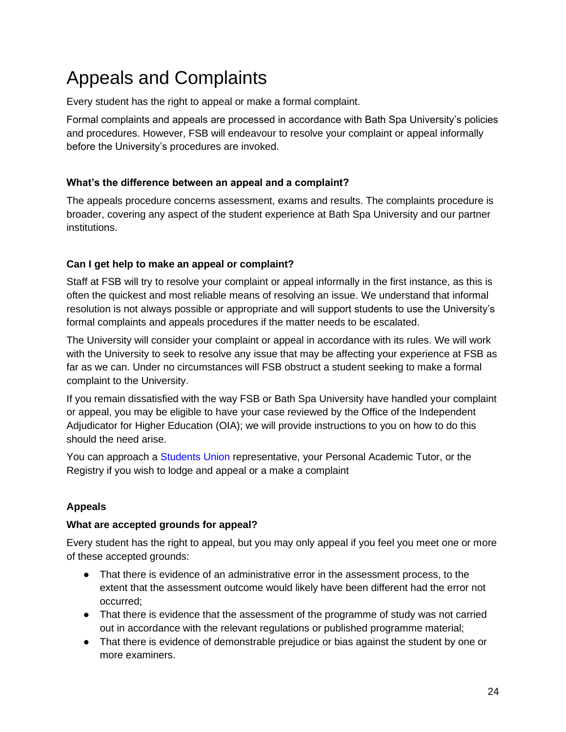## <span id="page-23-0"></span>Appeals and Complaints

Every student has the right to appeal or make a formal complaint.

Formal complaints and appeals are processed in accordance with Bath Spa University's policies and procedures. However, FSB will endeavour to resolve your complaint or appeal informally before the University's procedures are invoked.

### **What's the difference between an appeal and a complaint?**

The appeals procedure concerns assessment, exams and results. The complaints procedure is broader, covering any aspect of the student experience at Bath Spa University and our partner institutions.

### **Can I get help to make an appeal or complaint?**

Staff at FSB will try to resolve your complaint or appeal informally in the first instance, as this is often the quickest and most reliable means of resolving an issue. We understand that informal resolution is not always possible or appropriate and will support students to use the University's formal complaints and appeals procedures if the matter needs to be escalated.

The University will consider your complaint or appeal in accordance with its rules. We will work with the University to seek to resolve any issue that may be affecting your experience at FSB as far as we can. Under no circumstances will FSB obstruct a student seeking to make a formal complaint to the University.

If you remain dissatisfied with the way FSB or Bath Spa University have handled your complaint or appeal, you may be eligible to have your case reviewed by the Office of the Independent Adjudicator for Higher Education (OIA); we will provide instructions to you on how to do this should the need arise.

You can approach a Students Union representative, your Personal Academic Tutor, or the Registry if you wish to lodge and appeal or a make a complaint

### **Appeals**

### **What are accepted grounds for appeal?**

Every student has the right to appeal, but you may only appeal if you feel you meet one or more of these accepted grounds:

- That there is evidence of an administrative error in the assessment process, to the extent that the assessment outcome would likely have been different had the error not occurred;
- That there is evidence that the assessment of the programme of study was not carried out in accordance with the relevant regulations or published programme material;
- That there is evidence of demonstrable prejudice or bias against the student by one or more examiners.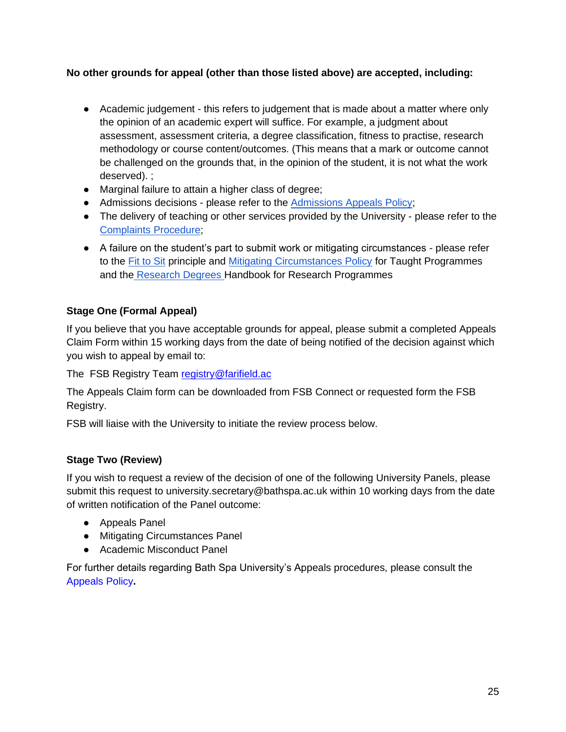### **No other grounds for appeal (other than those listed above) are accepted, including:**

- Academic judgement this refers to judgement that is made about a matter where only the opinion of an academic expert will suffice. For example, a judgment about assessment, assessment criteria, a degree classification, fitness to practise, research methodology or course content/outcomes. (This means that a mark or outcome cannot be challenged on the grounds that, in the opinion of the student, it is not what the work deserved). ;
- Marginal failure to attain a higher class of degree;
- Admissions decisions please refer to the [Admissions Appeals Policy;](https://www.bathspa.ac.uk/media/bathspaacuk/about-us/policies/academic-and-student/Appeals-Procedure-for-Applicants---December-2017.pdf)
- The delivery of teaching or other services provided by the University please refer to the [Complaints Procedure;](https://www.bathspa.ac.uk/about-us/governance/policies/complaints-policy/)
- A failure on the student's part to submit work or mitigating circumstances please refer to the [Fit to Sit](https://www.bathspa.ac.uk/about-us/governance/policies/mitigating-circumstances/) principle and [Mitigating Circumstances Policy](https://www.bathspa.ac.uk/about-us/governance/policies/mitigating-circumstances/) for Taught Programmes and the [Research Degrees H](https://www.bathspa.ac.uk/how-to-apply/research-degrees/)andbook for Research Programmes

### **Stage One (Formal Appeal)**

If you believe that you have acceptable grounds for appeal, please submit a completed Appeals Claim Form within 15 working days from the date of being notified of the decision against which you wish to appeal by email to:

The FSB Registry Team [registry@farifield.ac](mailto:registry@farifield.ac)

The Appeals Claim form can be downloaded from FSB Connect or requested form the FSB Registry.

FSB will liaise with the University to initiate the review process below.

### **Stage Two (Review)**

If you wish to request a review of the decision of one of the following University Panels, please submit this request to university.secretary@bathspa.ac.uk within 10 working days from the date of written notification of the Panel outcome:

- Appeals Panel
- Mitigating Circumstances Panel
- Academic Misconduct Panel

For further details regarding Bath Spa University's Appeals procedures, please consult the [Appeals Policy](https://www.bathspa.ac.uk/about-us/governance/policies/appeals-procedure/)**.**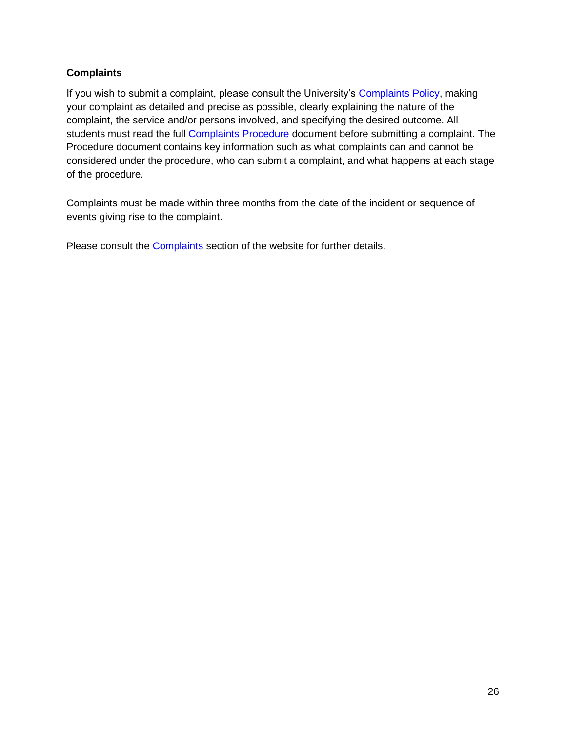### **Complaints**

If you wish to submit a complaint, please consult the University's [Complaints Policy,](https://www.bathspa.ac.uk/about-us/governance/policies/complaints-policy/) making your complaint as detailed and precise as possible, clearly explaining the nature of the complaint, the service and/or persons involved, and specifying the desired outcome. All students must read the full [Complaints Procedure](https://www.bathspa.ac.uk/media/bathspaacuk/about-us/policies/academic-and-student/Complaints-Policy-and-Procedure.pdf) document before submitting a complaint. The Procedure document contains key information such as what complaints can and cannot be considered under the procedure, who can submit a complaint, and what happens at each stage of the procedure.

Complaints must be made within three months from the date of the incident or sequence of events giving rise to the complaint.

Please consult the [Complaints](https://www.bathspa.ac.uk/about-us/governance/policies/complaints-policy/) section of the website for further details.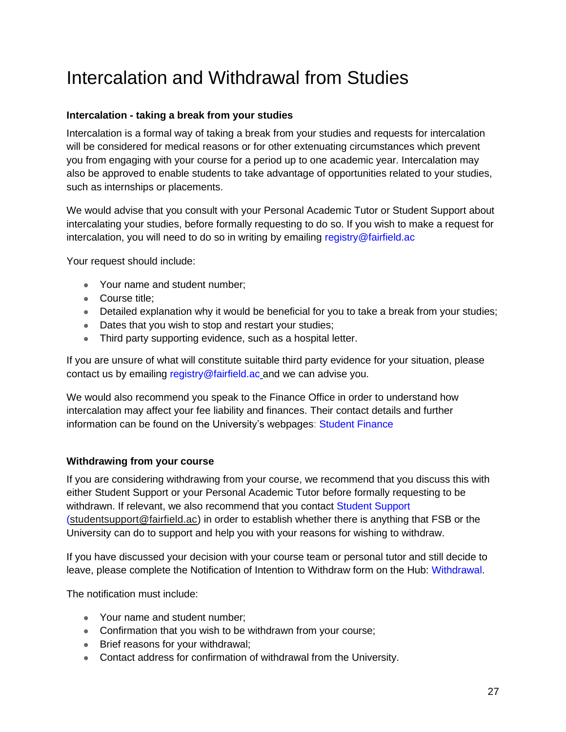## <span id="page-26-0"></span>Intercalation and Withdrawal from Studies

### **Intercalation - taking a break from your studies**

Intercalation is a formal way of taking a break from your studies and requests for intercalation will be considered for medical reasons or for other extenuating circumstances which prevent you from engaging with your course for a period up to one academic year. Intercalation may also be approved to enable students to take advantage of opportunities related to your studies, such as internships or placements.

We would advise that you consult with your Personal Academic Tutor or Student Support about intercalating your studies, before formally requesting to do so. If you wish to make a request for intercalation, you will need to do so in writing by emailing registry@fairfield.ac

Your request should include:

- Your name and student number;
- Course title:
- Detailed explanation why it would be beneficial for you to take a break from your studies;
- Dates that you wish to stop and restart your studies;
- Third party supporting evidence, such as a hospital letter.

If you are unsure of what will constitute suitable third party evidence for your situation, please contact us by emailing registry@fairfield.ac and we can advise you.

We would also recommend you speak to the Finance Office in order to understand how intercalation may affect your fee liability and finances. Their contact details and further information can be found on the University's webpages: [Student Finance](https://www.bathspa.ac.uk/students/student-finance/)

### **Withdrawing from your course**

If you are considering withdrawing from your course, we recommend that you discuss this with either Student Support or your Personal Academic Tutor before formally requesting to be withdrawn. If relevant, we also recommend that you contact Student Support [\(studentsupport@fairfield.ac\)](mailto:studentsupport@fairfield.ac?Subject=Hello%20again) in order to establish whether there is anything that FSB or the University can do to support and help you with your reasons for wishing to withdraw.

If you have discussed your decision with your course team or personal tutor and still decide to leave, please complete the Notification of Intention to Withdraw form on the Hub: [Withdrawal.](https://thehub.bathspa.ac.uk/student/sid/withdrawing)

The notification must include:

- Your name and student number:
- Confirmation that you wish to be withdrawn from your course;
- Brief reasons for your withdrawal;
- Contact address for confirmation of withdrawal from the University.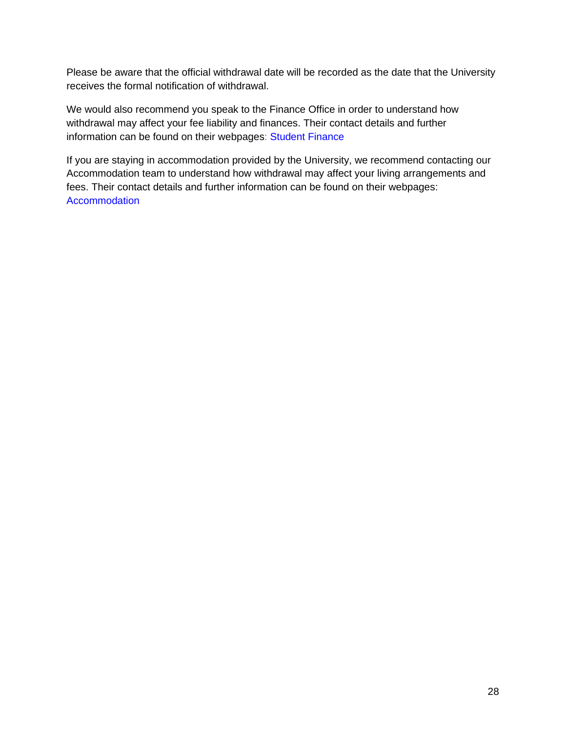Please be aware that the official withdrawal date will be recorded as the date that the University receives the formal notification of withdrawal.

We would also recommend you speak to the Finance Office in order to understand how withdrawal may affect your fee liability and finances. Their contact details and further information can be found on their webpages: [Student Finance](https://www.bathspa.ac.uk/students/student-finance/)

If you are staying in accommodation provided by the University, we recommend contacting our Accommodation team to understand how withdrawal may affect your living arrangements and fees. Their contact details and further information can be found on their webpages: **[Accommodation](https://www.bathspa.ac.uk/be-bath-spa/accommodation/)**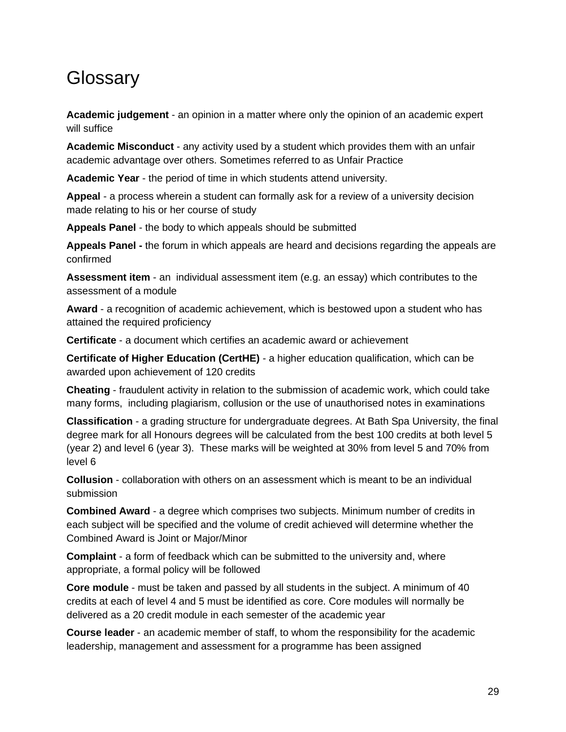### <span id="page-28-0"></span>**Glossary**

**Academic judgement** - an opinion in a matter where only the opinion of an academic expert will suffice

**Academic Misconduct** - any activity used by a student which provides them with an unfair academic advantage over others. Sometimes referred to as Unfair Practice

**Academic Year** - the period of time in which students attend university.

**Appeal** - a process wherein a student can formally ask for a review of a university decision made relating to his or her course of study

**Appeals Panel** - the body to which appeals should be submitted

**Appeals Panel -** the forum in which appeals are heard and decisions regarding the appeals are confirmed

**Assessment item** - an individual assessment item (e.g. an essay) which contributes to the assessment of a module

**Award** - a recognition of academic achievement, which is bestowed upon a student who has attained the required proficiency

**Certificate** - a document which certifies an academic award or achievement

**Certificate of Higher Education (CertHE)** - a higher education qualification, which can be awarded upon achievement of 120 credits

**Cheating** - fraudulent activity in relation to the submission of academic work, which could take many forms, including plagiarism, collusion or the use of unauthorised notes in examinations

**Classification** - a grading structure for undergraduate degrees. At Bath Spa University, the final degree mark for all Honours degrees will be calculated from the best 100 credits at both level 5 (year 2) and level 6 (year 3). These marks will be weighted at 30% from level 5 and 70% from level 6

**Collusion** - collaboration with others on an assessment which is meant to be an individual submission

**Combined Award** - a degree which comprises two subjects. Minimum number of credits in each subject will be specified and the volume of credit achieved will determine whether the Combined Award is Joint or Major/Minor

**Complaint** - a form of feedback which can be submitted to the university and, where appropriate, a formal policy will be followed

**Core module** - must be taken and passed by all students in the subject. A minimum of 40 credits at each of level 4 and 5 must be identified as core. Core modules will normally be delivered as a 20 credit module in each semester of the academic year

**Course leader** - an academic member of staff, to whom the responsibility for the academic leadership, management and assessment for a programme has been assigned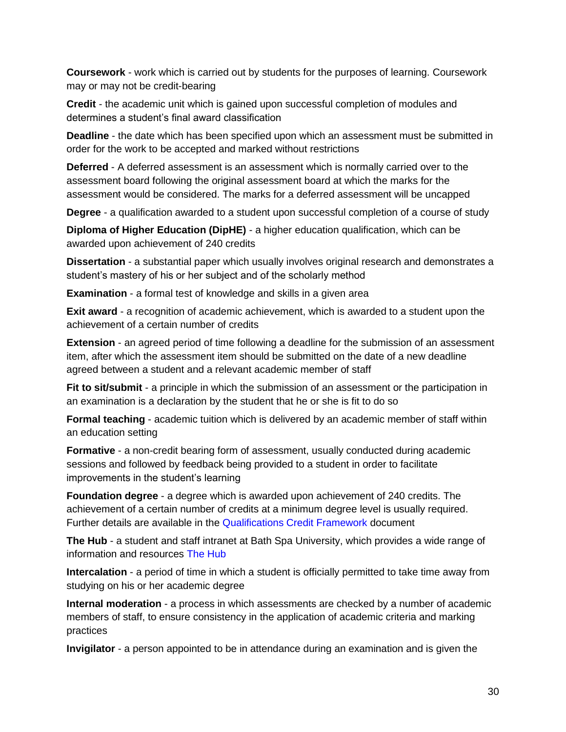**Coursework** - work which is carried out by students for the purposes of learning. Coursework may or may not be credit-bearing

**Credit** - the academic unit which is gained upon successful completion of modules and determines a student's final award classification

**Deadline** - the date which has been specified upon which an assessment must be submitted in order for the work to be accepted and marked without restrictions

**Deferred** - A deferred assessment is an assessment which is normally carried over to the assessment board following the original assessment board at which the marks for the assessment would be considered. The marks for a deferred assessment will be uncapped

**Degree** - a qualification awarded to a student upon successful completion of a course of study

**Diploma of Higher Education (DipHE)** - a higher education qualification, which can be awarded upon achievement of 240 credits

**Dissertation** - a substantial paper which usually involves original research and demonstrates a student's mastery of his or her subject and of the scholarly method

**Examination** - a formal test of knowledge and skills in a given area

**Exit award** - a recognition of academic achievement, which is awarded to a student upon the achievement of a certain number of credits

**Extension** - an agreed period of time following a deadline for the submission of an assessment item, after which the assessment item should be submitted on the date of a new deadline agreed between a student and a relevant academic member of staff

**Fit to sit/submit** - a principle in which the submission of an assessment or the participation in an examination is a declaration by the student that he or she is fit to do so

**Formal teaching** - academic tuition which is delivered by an academic member of staff within an education setting

**Formative** - a non-credit bearing form of assessment, usually conducted during academic sessions and followed by feedback being provided to a student in order to facilitate improvements in the student's learning

**Foundation degree** - a degree which is awarded upon achievement of 240 credits. The achievement of a certain number of credits at a minimum degree level is usually required. Further details are available in the [Qualifications Credit Framework](https://www.bathspa.ac.uk/media/bathspaacuk/about-us/policies/academic-and-student/BSU-Qualifications-Credit-Framework-October-2019-1.pdf) document

**The Hub** - a student and staff intranet at Bath Spa University, which provides a wide range of information and resources [The Hub](https://thehub.bathspa.ac.uk/student)

**Intercalation** - a period of time in which a student is officially permitted to take time away from studying on his or her academic degree

**Internal moderation** - a process in which assessments are checked by a number of academic members of staff, to ensure consistency in the application of academic criteria and marking practices

**Invigilator** - a person appointed to be in attendance during an examination and is given the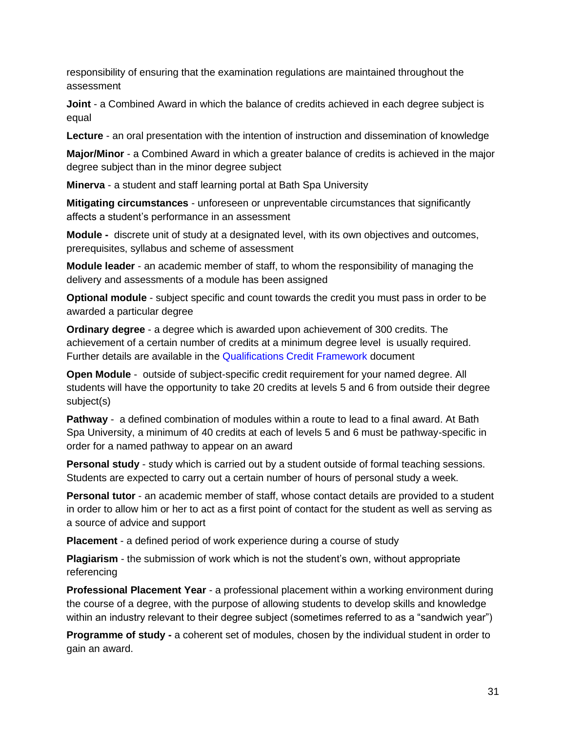responsibility of ensuring that the examination regulations are maintained throughout the assessment

**Joint** - a Combined Award in which the balance of credits achieved in each degree subject is equal

**Lecture** - an oral presentation with the intention of instruction and dissemination of knowledge

**Major/Minor** - a Combined Award in which a greater balance of credits is achieved in the major degree subject than in the minor degree subject

**Minerva** - a student and staff learning portal at Bath Spa University

**Mitigating circumstances** - unforeseen or unpreventable circumstances that significantly affects a student's performance in an assessment

**Module -** discrete unit of study at a designated level, with its own objectives and outcomes, prerequisites, syllabus and scheme of assessment

**Module leader** - an academic member of staff, to whom the responsibility of managing the delivery and assessments of a module has been assigned

**Optional module** - subject specific and count towards the credit you must pass in order to be awarded a particular degree

**Ordinary degree** - a degree which is awarded upon achievement of 300 credits. The achievement of a certain number of credits at a minimum degree level is usually required. Further details are available in the [Qualifications Credit Framework d](https://www.bathspa.ac.uk/media/bathspaacuk/about-us/policies/academic-and-student/BSU-Qualifications-Credit-Framework-October-2019-1.pdf)ocument

**Open Module** - outside of subject-specific credit requirement for your named degree. All students will have the opportunity to take 20 credits at levels 5 and 6 from outside their degree subject(s)

**Pathway** - a defined combination of modules within a route to lead to a final award. At Bath Spa University, a minimum of 40 credits at each of levels 5 and 6 must be pathway-specific in order for a named pathway to appear on an award

**Personal study** - study which is carried out by a student outside of formal teaching sessions. Students are expected to carry out a certain number of hours of personal study a week.

**Personal tutor** - an academic member of staff, whose contact details are provided to a student in order to allow him or her to act as a first point of contact for the student as well as serving as a source of advice and support

**Placement** - a defined period of work experience during a course of study

**Plagiarism** - the submission of work which is not the student's own, without appropriate referencing

**Professional Placement Year** - a professional placement within a working environment during the course of a degree, with the purpose of allowing students to develop skills and knowledge within an industry relevant to their degree subject (sometimes referred to as a "sandwich year")

**Programme of study -** a coherent set of modules, chosen by the individual student in order to gain an award.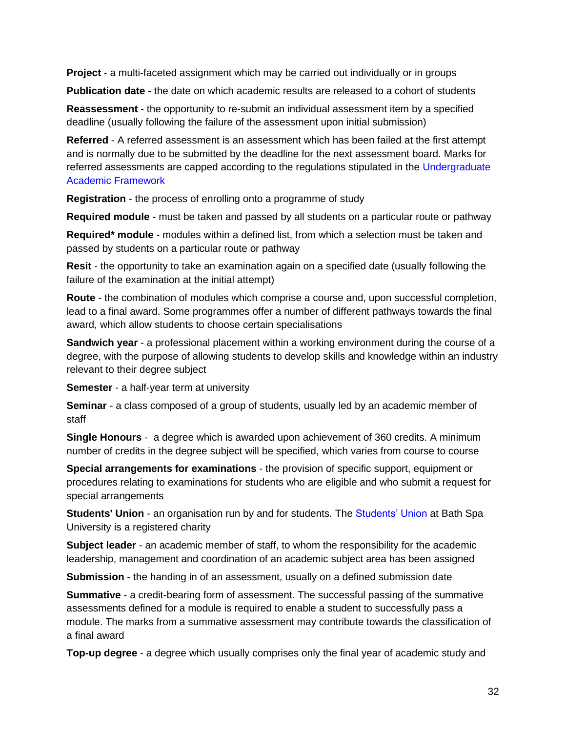**Project** - a multi-faceted assignment which may be carried out individually or in groups

**Publication date** - the date on which academic results are released to a cohort of students

**Reassessment** - the opportunity to re-submit an individual assessment item by a specified deadline (usually following the failure of the assessment upon initial submission)

**Referred** - A referred assessment is an assessment which has been failed at the first attempt and is normally due to be submitted by the deadline for the next assessment board. Marks for referred assessments are capped according to the regulations stipulated in the Undergraduate [Academic Framework](https://www.bathspa.ac.uk/media/bathspaacuk/about-us/policies/academic-and-student/UG-Academic-Framework-21-May-2019-V1.3.pdf)

**Registration** - the process of enrolling onto a programme of study

**Required module** - must be taken and passed by all students on a particular route or pathway

**Required\* module** - modules within a defined list, from which a selection must be taken and passed by students on a particular route or pathway

**Resit** - the opportunity to take an examination again on a specified date (usually following the failure of the examination at the initial attempt)

**Route** - the combination of modules which comprise a course and, upon successful completion, lead to a final award. Some programmes offer a number of different pathways towards the final award, which allow students to choose certain specialisations

**Sandwich year** - a professional placement within a working environment during the course of a degree, with the purpose of allowing students to develop skills and knowledge within an industry relevant to their degree subject

**Semester** - a half-year term at university

**Seminar** - a class composed of a group of students, usually led by an academic member of staff

**Single Honours** - a degree which is awarded upon achievement of 360 credits. A minimum number of credits in the degree subject will be specified, which varies from course to course

**Special arrangements for examinations** - the provision of specific support, equipment or procedures relating to examinations for students who are eligible and who submit a request for special arrangements

**Students' Union** - an organisation run by and for students. The [Students' Union](https://www.bathspasu.co.uk/) at Bath Spa University is a registered charity

**Subject leader** - an academic member of staff, to whom the responsibility for the academic leadership, management and coordination of an academic subject area has been assigned

**Submission** - the handing in of an assessment, usually on a defined submission date

**Summative** - a credit-bearing form of assessment. The successful passing of the summative assessments defined for a module is required to enable a student to successfully pass a module. The marks from a summative assessment may contribute towards the classification of a final award

**Top-up degree** - a degree which usually comprises only the final year of academic study and